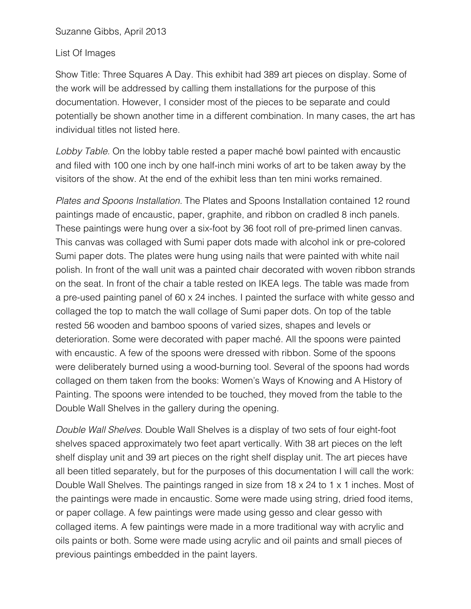## List Of Images

Show Title: Three Squares A Day. This exhibit had 389 art pieces on display. Some of the work will be addressed by calling them installations for the purpose of this documentation. However, I consider most of the pieces to be separate and could potentially be shown another time in a different combination. In many cases, the art has individual titles not listed here.

*Lobby Table.* On the lobby table rested a paper maché bowl painted with encaustic and filed with 100 one inch by one half-inch mini works of art to be taken away by the visitors of the show. At the end of the exhibit less than ten mini works remained.

*Plates and Spoons Installation.* The Plates and Spoons Installation contained 12 round paintings made of encaustic, paper, graphite, and ribbon on cradled 8 inch panels. These paintings were hung over a six-foot by 36 foot roll of pre-primed linen canvas. This canvas was collaged with Sumi paper dots made with alcohol ink or pre-colored Sumi paper dots. The plates were hung using nails that were painted with white nail polish. In front of the wall unit was a painted chair decorated with woven ribbon strands on the seat. In front of the chair a table rested on IKEA legs. The table was made from a pre-used painting panel of 60 x 24 inches. I painted the surface with white gesso and collaged the top to match the wall collage of Sumi paper dots. On top of the table rested 56 wooden and bamboo spoons of varied sizes, shapes and levels or deterioration. Some were decorated with paper maché. All the spoons were painted with encaustic. A few of the spoons were dressed with ribbon. Some of the spoons were deliberately burned using a wood-burning tool. Several of the spoons had words collaged on them taken from the books: Women's Ways of Knowing and A History of Painting. The spoons were intended to be touched, they moved from the table to the Double Wall Shelves in the gallery during the opening.

*Double Wall Shelves.* Double Wall Shelves is a display of two sets of four eight-foot shelves spaced approximately two feet apart vertically. With 38 art pieces on the left shelf display unit and 39 art pieces on the right shelf display unit. The art pieces have all been titled separately, but for the purposes of this documentation I will call the work: Double Wall Shelves. The paintings ranged in size from 18 x 24 to 1 x 1 inches. Most of the paintings were made in encaustic. Some were made using string, dried food items, or paper collage. A few paintings were made using gesso and clear gesso with collaged items. A few paintings were made in a more traditional way with acrylic and oils paints or both. Some were made using acrylic and oil paints and small pieces of previous paintings embedded in the paint layers.